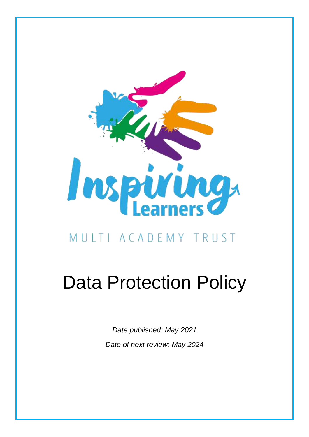

# MULTI ACADEMY TRUST

# Data Protection Policy

*Date published: May 2021 Date of next review: May 2024*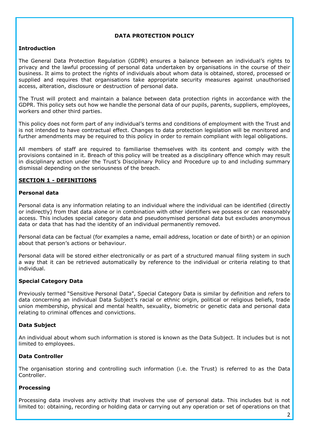# **DATA PROTECTION POLICY**

#### **Introduction**

The General Data Protection Regulation (GDPR) ensures a balance between an individual's rights to privacy and the lawful processing of personal data undertaken by organisations in the course of their business. It aims to protect the rights of individuals about whom data is obtained, stored, processed or supplied and requires that organisations take appropriate security measures against unauthorised access, alteration, disclosure or destruction of personal data.

The Trust will protect and maintain a balance between data protection rights in accordance with the GDPR. This policy sets out how we handle the personal data of our pupils, parents, suppliers, employees, workers and other third parties.

This policy does not form part of any individual's terms and conditions of employment with the Trust and is not intended to have contractual effect. Changes to data protection legislation will be monitored and further amendments may be required to this policy in order to remain compliant with legal obligations.

All members of staff are required to familiarise themselves with its content and comply with the provisions contained in it. Breach of this policy will be treated as a disciplinary offence which may result in disciplinary action under the Trust's Disciplinary Policy and Procedure up to and including summary dismissal depending on the seriousness of the breach.

#### **SECTION 1 - DEFINITIONS**

#### **Personal data**

Personal data is any information relating to an individual where the individual can be identified (directly or indirectly) from that data alone or in combination with other identifiers we possess or can reasonably access. This includes special category data and pseudonymised personal data but excludes anonymous data or data that has had the identity of an individual permanently removed.

Personal data can be factual (for examples a name, email address, location or date of birth) or an opinion about that person's actions or behaviour.

Personal data will be stored either electronically or as part of a structured manual filing system in such a way that it can be retrieved automatically by reference to the individual or criteria relating to that individual.

#### **Special Category Data**

Previously termed "Sensitive Personal Data", Special Category Data is similar by definition and refers to data concerning an individual Data Subject's racial or ethnic origin, political or religious beliefs, trade union membership, physical and mental health, sexuality, biometric or genetic data and personal data relating to criminal offences and convictions.

#### **Data Subject**

An individual about whom such information is stored is known as the Data Subject. It includes but is not limited to employees.

#### **Data Controller**

The organisation storing and controlling such information (i.e. the Trust) is referred to as the Data Controller.

#### **Processing**

Processing data involves any activity that involves the use of personal data. This includes but is not limited to: obtaining, recording or holding data or carrying out any operation or set of operations on that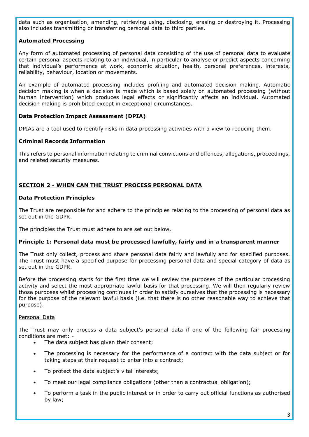data such as organisation, amending, retrieving using, disclosing, erasing or destroying it. Processing also includes transmitting or transferring personal data to third parties.

# **Automated Processing**

Any form of automated processing of personal data consisting of the use of personal data to evaluate certain personal aspects relating to an individual, in particular to analyse or predict aspects concerning that individual's performance at work, economic situation, health, personal preferences, interests, reliability, behaviour, location or movements.

An example of automated processing includes profiling and automated decision making. Automatic decision making is when a decision is made which is based solely on automated processing (without human intervention) which produces legal effects or significantly affects an individual. Automated decision making is prohibited except in exceptional circumstances.

# **Data Protection Impact Assessment (DPIA)**

DPIAs are a tool used to identify risks in data processing activities with a view to reducing them.

# **Criminal Records Information**

This refers to personal information relating to criminal convictions and offences, allegations, proceedings, and related security measures.

# **SECTION 2 - WHEN CAN THE TRUST PROCESS PERSONAL DATA**

#### **Data Protection Principles**

The Trust are responsible for and adhere to the principles relating to the processing of personal data as set out in the GDPR.

The principles the Trust must adhere to are set out below.

#### **Principle 1: Personal data must be processed lawfully, fairly and in a transparent manner**

The Trust only collect, process and share personal data fairly and lawfully and for specified purposes. The Trust must have a specified purpose for processing personal data and special category of data as set out in the GDPR.

Before the processing starts for the first time we will review the purposes of the particular processing activity and select the most appropriate lawful basis for that processing. We will then regularly review those purposes whilst processing continues in order to satisfy ourselves that the processing is necessary for the purpose of the relevant lawful basis (i.e. that there is no other reasonable way to achieve that purpose).

#### Personal Data

The Trust may only process a data subject's personal data if one of the following fair processing conditions are met: -

- The data subject has given their consent;
- The processing is necessary for the performance of a contract with the data subject or for taking steps at their request to enter into a contract;
- To protect the data subject's vital interests;
- To meet our legal compliance obligations (other than a contractual obligation);
- To perform a task in the public interest or in order to carry out official functions as authorised by law;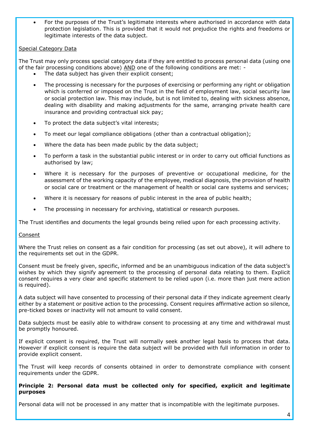For the purposes of the Trust's legitimate interests where authorised in accordance with data protection legislation. This is provided that it would not prejudice the rights and freedoms or legitimate interests of the data subject.

# Special Category Data

The Trust may only process special category data if they are entitled to process personal data (using one of the fair processing conditions above) AND one of the following conditions are met: -

- The data subject has given their explicit consent;
- The processing is necessary for the purposes of exercising or performing any right or obligation which is conferred or imposed on the Trust in the field of employment law, social security law or social protection law. This may include, but is not limited to, dealing with sickness absence, dealing with disability and making adjustments for the same, arranging private health care insurance and providing contractual sick pay;
- To protect the data subject's vital interests;
- To meet our legal compliance obligations (other than a contractual obligation);
- Where the data has been made public by the data subject;
- To perform a task in the substantial public interest or in order to carry out official functions as authorised by law;
- Where it is necessary for the purposes of preventive or occupational medicine, for the assessment of the working capacity of the employee, medical diagnosis, the provision of health or social care or treatment or the management of health or social care systems and services;
- Where it is necessary for reasons of public interest in the area of public health;
- The processing in necessary for archiving, statistical or research purposes.

The Trust identifies and documents the legal grounds being relied upon for each processing activity.

#### Consent

Where the Trust relies on consent as a fair condition for processing (as set out above), it will adhere to the requirements set out in the GDPR.

Consent must be freely given, specific, informed and be an unambiguous indication of the data subject's wishes by which they signify agreement to the processing of personal data relating to them. Explicit consent requires a very clear and specific statement to be relied upon (i.e. more than just mere action is required).

A data subject will have consented to processing of their personal data if they indicate agreement clearly either by a statement or positive action to the processing. Consent requires affirmative action so silence, pre-ticked boxes or inactivity will not amount to valid consent.

Data subjects must be easily able to withdraw consent to processing at any time and withdrawal must be promptly honoured.

If explicit consent is required, the Trust will normally seek another legal basis to process that data. However if explicit consent is require the data subject will be provided with full information in order to provide explicit consent.

The Trust will keep records of consents obtained in order to demonstrate compliance with consent requirements under the GDPR.

#### **Principle 2: Personal data must be collected only for specified, explicit and legitimate purposes**

Personal data will not be processed in any matter that is incompatible with the legitimate purposes.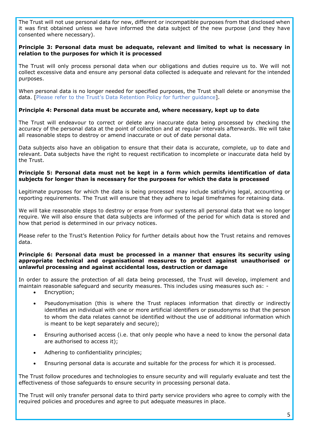The Trust will not use personal data for new, different or incompatible purposes from that disclosed when it was first obtained unless we have informed the data subject of the new purpose (and they have consented where necessary).

#### **Principle 3: Personal data must be adequate, relevant and limited to what is necessary in relation to the purposes for which it is processed**

The Trust will only process personal data when our obligations and duties require us to. We will not collect excessive data and ensure any personal data collected is adequate and relevant for the intended purposes.

When personal data is no longer needed for specified purposes, the Trust shall delete or anonymise the data. [Please refer to the Trust's Data Retention Policy for further guidance].

#### **Principle 4: Personal data must be accurate and, where necessary, kept up to date**

The Trust will endeavour to correct or delete any inaccurate data being processed by checking the accuracy of the personal data at the point of collection and at regular intervals afterwards. We will take all reasonable steps to destroy or amend inaccurate or out of date personal data.

Data subjects also have an obligation to ensure that their data is accurate, complete, up to date and relevant. Data subjects have the right to request rectification to incomplete or inaccurate data held by the Trust.

#### **Principle 5: Personal data must not be kept in a form which permits identification of data subjects for longer than is necessary for the purposes for which the data is processed**

Legitimate purposes for which the data is being processed may include satisfying legal, accounting or reporting requirements. The Trust will ensure that they adhere to legal timeframes for retaining data.

We will take reasonable steps to destroy or erase from our systems all personal data that we no longer require. We will also ensure that data subjects are informed of the period for which data is stored and how that period is determined in our privacy notices.

Please refer to the Trust's Retention Policy for further details about how the Trust retains and removes data.

#### **Principle 6: Personal data must be processed in a manner that ensures its security using appropriate technical and organisational measures to protect against unauthorised or unlawful processing and against accidental loss, destruction or damage**

In order to assure the protection of all data being processed, the Trust will develop, implement and maintain reasonable safeguard and security measures. This includes using measures such as: -

- Encryption;
- Pseudonymisation (this is where the Trust replaces information that directly or indirectly identifies an individual with one or more artificial identifiers or pseudonyms so that the person to whom the data relates cannot be identified without the use of additional information which is meant to be kept separately and secure);
- Ensuring authorised access (i.e. that only people who have a need to know the personal data are authorised to access it);
- Adhering to confidentiality principles;
- Ensuring personal data is accurate and suitable for the process for which it is processed.

The Trust follow procedures and technologies to ensure security and will regularly evaluate and test the effectiveness of those safeguards to ensure security in processing personal data.

The Trust will only transfer personal data to third party service providers who agree to comply with the required policies and procedures and agree to put adequate measures in place.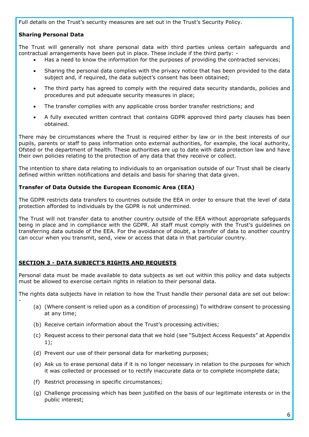Full details on the Trust's security measures are set out in the Trust's Security Policy.

# **Sharing Personal Data**

-

The Trust will generally not share personal data with third parties unless certain safeguards and contractual arrangements have been put in place. These include if the third party: -

- Has a need to know the information for the purposes of providing the contracted services;
- Sharing the personal data complies with the privacy notice that has been provided to the data subject and, if required, the data subject's consent has been obtained;
- The third party has agreed to comply with the required data security standards, policies and procedures and put adequate security measures in place;
- The transfer complies with any applicable cross border transfer restrictions; and
- A fully executed written contract that contains GDPR approved third party clauses has been obtained.

There may be circumstances where the Trust is required either by law or in the best interests of our pupils, parents or staff to pass information onto external authorities, for example, the local authority, Ofsted or the department of health. These authorities are up to date with data protection law and have their own policies relating to the protection of any data that they receive or collect.

The intention to share data relating to individuals to an organisation outside of our Trust shall be clearly defined within written notifications and details and basis for sharing that data given.

#### **Transfer of Data Outside the European Economic Area (EEA)**

The GDPR restricts data transfers to countries outside the EEA in order to ensure that the level of data protection afforded to individuals by the GDPR is not undermined.

The Trust will not transfer data to another country outside of the EEA without appropriate safeguards being in place and in compliance with the GDPR. All staff must comply with the Trust's guidelines on transferring data outside of the EEA. For the avoidance of doubt, a transfer of data to another country can occur when you transmit, send, view or access that data in that particular country.

# **SECTION 3 - DATA SUBJECT'S RIGHTS AND REQUESTS**

Personal data must be made available to data subjects as set out within this policy and data subjects must be allowed to exercise certain rights in relation to their personal data.

The rights data subjects have in relation to how the Trust handle their personal data are set out below:

- (a) (Where consent is relied upon as a condition of processing) To withdraw consent to processing at any time;
- (b) Receive certain information about the Trust's processing activities;
- (c) Request access to their personal data that we hold (see "Subject Access Requests" at Appendix 1);
- (d) Prevent our use of their personal data for marketing purposes;
- (e) Ask us to erase personal data if it is no longer necessary in relation to the purposes for which it was collected or processed or to rectify inaccurate data or to complete incomplete data;
- (f) Restrict processing in specific circumstances;
- (g) Challenge processing which has been justified on the basis of our legitimate interests or in the public interest;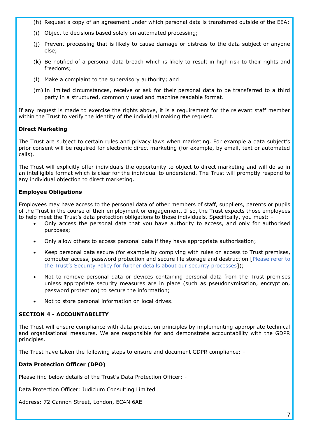- (h) Request a copy of an agreement under which personal data is transferred outside of the EEA;
- (i) Object to decisions based solely on automated processing;
- (j) Prevent processing that is likely to cause damage or distress to the data subject or anyone else;
- (k) Be notified of a personal data breach which is likely to result in high risk to their rights and freedoms;
- (l) Make a complaint to the supervisory authority; and
- (m) In limited circumstances, receive or ask for their personal data to be transferred to a third party in a structured, commonly used and machine readable format.

If any request is made to exercise the rights above, it is a requirement for the relevant staff member within the Trust to verify the identity of the individual making the request.

#### **Direct Marketing**

The Trust are subject to certain rules and privacy laws when marketing. For example a data subject's prior consent will be required for electronic direct marketing (for example, by email, text or automated calls).

The Trust will explicitly offer individuals the opportunity to object to direct marketing and will do so in an intelligible format which is clear for the individual to understand. The Trust will promptly respond to any individual objection to direct marketing.

#### **Employee Obligations**

Employees may have access to the personal data of other members of staff, suppliers, parents or pupils of the Trust in the course of their employment or engagement. If so, the Trust expects those employees to help meet the Trust's data protection obligations to those individuals. Specifically, you must: -

- Only access the personal data that you have authority to access, and only for authorised purposes;
- Only allow others to access personal data if they have appropriate authorisation;
- Keep personal data secure (for example by complying with rules on access to Trust premises, computer access, password protection and secure file storage and destruction [Please refer to the Trust's Security Policy for further details about our security processes]);
- Not to remove personal data or devices containing personal data from the Trust premises unless appropriate security measures are in place (such as pseudonymisation, encryption, password protection) to secure the information;
- Not to store personal information on local drives.

#### **SECTION 4 - ACCOUNTABILITY**

The Trust will ensure compliance with data protection principles by implementing appropriate technical and organisational measures. We are responsible for and demonstrate accountability with the GDPR principles.

The Trust have taken the following steps to ensure and document GDPR compliance: -

#### **Data Protection Officer (DPO)**

Please find below details of the Trust's Data Protection Officer: -

Data Protection Officer: Judicium Consulting Limited

Address: 72 Cannon Street, London, EC4N 6AE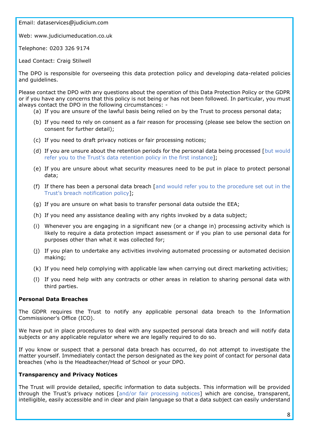Email: [dataservices@judicium.com](mailto:dataservices@judicium.com)

Web: www.judiciumeducation.co.uk

Telephone: 0203 326 9174

Lead Contact: Craig Stilwell

The DPO is responsible for overseeing this data protection policy and developing data-related policies and guidelines.

Please contact the DPO with any questions about the operation of this Data Protection Policy or the GDPR or if you have any concerns that this policy is not being or has not been followed. In particular, you must always contact the DPO in the following circumstances: -

- (a) If you are unsure of the lawful basis being relied on by the Trust to process personal data;
- (b) If you need to rely on consent as a fair reason for processing (please see below the section on consent for further detail);
- (c) If you need to draft privacy notices or fair processing notices;
- (d) If you are unsure about the retention periods for the personal data being processed [but would refer you to the Trust's data retention policy in the first instance];
- (e) If you are unsure about what security measures need to be put in place to protect personal data;
- (f) If there has been a personal data breach [and would refer you to the procedure set out in the Trust's breach notification policy];
- (g) If you are unsure on what basis to transfer personal data outside the EEA;
- (h) If you need any assistance dealing with any rights invoked by a data subject;
- (i) Whenever you are engaging in a significant new (or a change in) processing activity which is likely to require a data protection impact assessment or if you plan to use personal data for purposes other than what it was collected for;
- (j) If you plan to undertake any activities involving automated processing or automated decision making;
- (k) If you need help complying with applicable law when carrying out direct marketing activities;
- (l) If you need help with any contracts or other areas in relation to sharing personal data with third parties.

#### **Personal Data Breaches**

The GDPR requires the Trust to notify any applicable personal data breach to the Information Commissioner's Office (ICO).

We have put in place procedures to deal with any suspected personal data breach and will notify data subjects or any applicable regulator where we are legally required to do so.

If you know or suspect that a personal data breach has occurred, do not attempt to investigate the matter yourself. Immediately contact the person designated as the key point of contact for personal data breaches (who is the Headteacher/Head of School or your DPO.

#### **Transparency and Privacy Notices**

The Trust will provide detailed, specific information to data subjects. This information will be provided through the Trust's privacy notices [and/or fair processing notices] which are concise, transparent, intelligible, easily accessible and in clear and plain language so that a data subject can easily understand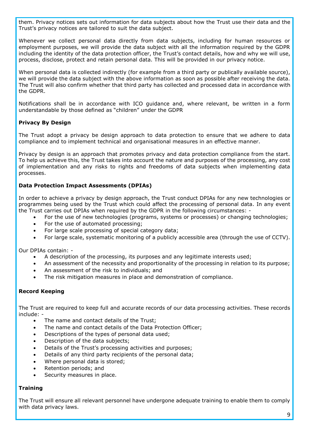them. Privacy notices sets out information for data subjects about how the Trust use their data and the Trust's privacy notices are tailored to suit the data subject.

Whenever we collect personal data directly from data subjects, including for human resources or employment purposes, we will provide the data subject with all the information required by the GDPR including the identity of the data protection officer, the Trust's contact details, how and why we will use, process, disclose, protect and retain personal data. This will be provided in our privacy notice.

When personal data is collected indirectly (for example from a third party or publically available source), we will provide the data subject with the above information as soon as possible after receiving the data. The Trust will also confirm whether that third party has collected and processed data in accordance with the GDPR.

Notifications shall be in accordance with ICO guidance and, where relevant, be written in a form understandable by those defined as "children" under the GDPR

# **Privacy By Design**

The Trust adopt a privacy be design approach to data protection to ensure that we adhere to data compliance and to implement technical and organisational measures in an effective manner.

Privacy by design is an approach that promotes privacy and data protection compliance from the start. To help us achieve this, the Trust takes into account the nature and purposes of the processing, any cost of implementation and any risks to rights and freedoms of data subjects when implementing data processes.

# **Data Protection Impact Assessments (DPIAs)**

In order to achieve a privacy by design approach, the Trust conduct DPIAs for any new technologies or programmes being used by the Trust which could affect the processing of personal data. In any event the Trust carries out DPIAs when required by the GDPR in the following circumstances: -

- For the use of new technologies (programs, systems or processes) or changing technologies;
- For the use of automated processing;
- For large scale processing of special category data;
- For large scale, systematic monitoring of a publicly accessible area (through the use of CCTV).

Our DPIAs contain: -

- A description of the processing, its purposes and any legitimate interests used;
- An assessment of the necessity and proportionality of the processing in relation to its purpose;
- An assessment of the risk to individuals; and
- The risk mitigation measures in place and demonstration of compliance.

#### **Record Keeping**

The Trust are required to keep full and accurate records of our data processing activities. These records include: -

- The name and contact details of the Trust;
- The name and contact details of the Data Protection Officer;
- Descriptions of the types of personal data used;
- Description of the data subjects;
- Details of the Trust's processing activities and purposes;
- Details of any third party recipients of the personal data;
- Where personal data is stored;
- Retention periods; and
- Security measures in place.

#### **Training**

The Trust will ensure all relevant personnel have undergone adequate training to enable them to comply with data privacy laws.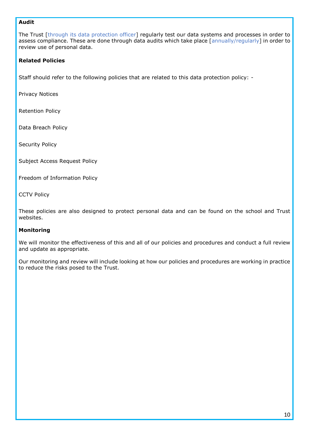# **Audit**

The Trust [through its data protection officer] regularly test our data systems and processes in order to assess compliance. These are done through data audits which take place [annually/regularly] in order to review use of personal data.

# **Related Policies**

Staff should refer to the following policies that are related to this data protection policy: -

Privacy Notices

Retention Policy

Data Breach Policy

Security Policy

Subject Access Request Policy

Freedom of Information Policy

CCTV Policy

These policies are also designed to protect personal data and can be found on the school and Trust websites.

#### **Monitoring**

We will monitor the effectiveness of this and all of our policies and procedures and conduct a full review and update as appropriate.

Our monitoring and review will include looking at how our policies and procedures are working in practice to reduce the risks posed to the Trust.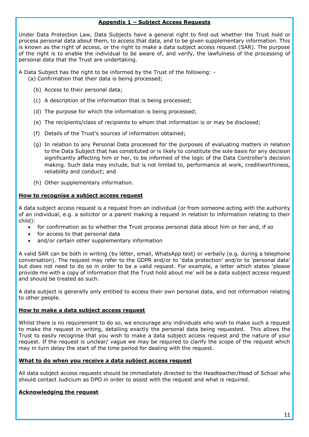#### **Appendix 1 – Subject Access Requests**

Under Data Protection Law, Data Subjects have a general right to find out whether the Trust hold or process personal data about them, to access that data, and to be given supplementary information. This is known as the right of access, or the right to make a data subject access request (SAR). The purpose of the right is to enable the individual to be aware of, and verify, the lawfulness of the processing of personal data that the Trust are undertaking.

A Data Subject has the right to be informed by the Trust of the following: - (a) Confirmation that their data is being processed;

- (b) Access to their personal data;
- (c) A description of the information that is being processed;
- (d) The purpose for which the information is being processed;
- (e) The recipients/class of recipients to whom that information is or may be disclosed;
- (f) Details of the Trust's sources of information obtained;
- (g) In relation to any Personal Data processed for the purposes of evaluating matters in relation to the Data Subject that has constituted or is likely to constitute the sole basis for any decision significantly affecting him or her, to be informed of the logic of the Data Controller's decision making. Such data may include, but is not limited to, performance at work, creditworthiness, reliability and conduct; and
- (h) Other supplementary information.

#### **How to recognise a subject access request**

A data subject access request is a request from an individual (or from someone acting with the authority of an individual, e.g. a solicitor or a parent making a request in relation to information relating to their child):

- for confirmation as to whether the Trust process personal data about him or her and, if so
- for access to that personal data
- and/or certain other supplementary information

A valid SAR can be both in writing (by letter, email, WhatsApp text) or verbally (e.g. during a telephone conversation). The request may refer to the GDPR and/or to 'data protection' and/or to 'personal data' but does not need to do so in order to be a valid request. For example, a letter which states 'please provide me with a copy of information that the Trust hold about me' will be a data subject access request and should be treated as such.

A data subject is generally only entitled to access their own personal data, and not information relating to other people.

#### **How to make a data subject access request**

Whilst there is no requirement to do so, we encourage any individuals who wish to make such a request to make the request in writing, detailing exactly the personal data being requested. This allows the Trust to easily recognise that you wish to make a data subject access request and the nature of your request. If the request is unclear/ vague we may be required to clarify the scope of the request which may in turn delay the start of the time period for dealing with the request.

#### **What to do when you receive a data subject access request**

All data subject access requests should be immediately directed to the Headteacher/Head of School who should contact Judicium as DPO in order to assist with the request and what is required.

# **Acknowledging the request**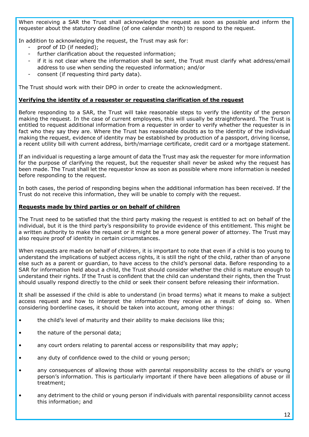When receiving a SAR the Trust shall acknowledge the request as soon as possible and inform the requester about the statutory deadline (of one calendar month) to respond to the request.

In addition to acknowledging the request, the Trust may ask for:

- proof of ID (if needed);
- further clarification about the requested information;
- if it is not clear where the information shall be sent, the Trust must clarify what address/email address to use when sending the requested information; and/or
- consent (if requesting third party data).

The Trust should work with their DPO in order to create the acknowledgment.

#### **Verifying the identity of a requester or requesting clarification of the request**

Before responding to a SAR, the Trust will take reasonable steps to verify the identity of the person making the request. In the case of current employees, this will usually be straightforward. The Trust is entitled to request additional information from a requester in order to verify whether the requester is in fact who they say they are. Where the Trust has reasonable doubts as to the identity of the individual making the request, evidence of identity may be established by production of a passport, driving license, a recent utility bill with current address, birth/marriage certificate, credit card or a mortgage statement.

If an individual is requesting a large amount of data the Trust may ask the requester for more information for the purpose of clarifying the request, but the requester shall never be asked why the request has been made. The Trust shall let the requestor know as soon as possible where more information is needed before responding to the request.

In both cases, the period of responding begins when the additional information has been received. If the Trust do not receive this information, they will be unable to comply with the request.

#### **Requests made by third parties or on behalf of children**

The Trust need to be satisfied that the third party making the request is entitled to act on behalf of the individual, but it is the third party's responsibility to provide evidence of this entitlement. This might be a written authority to make the request or it might be a more general power of attorney. The Trust may also require proof of identity in certain circumstances.

When requests are made on behalf of children, it is important to note that even if a child is too young to understand the implications of subject access rights, it is still the right of the child, rather than of anyone else such as a parent or guardian, to have access to the child's personal data. Before responding to a SAR for information held about a child, the Trust should consider whether the child is mature enough to understand their rights. If the Trust is confident that the child can understand their rights, then the Trust should usually respond directly to the child or seek their consent before releasing their information.

It shall be assessed if the child is able to understand (in broad terms) what it means to make a subject access request and how to interpret the information they receive as a result of doing so. When considering borderline cases, it should be taken into account, among other things:

- the child's level of maturity and their ability to make decisions like this;
- the nature of the personal data;
- any court orders relating to parental access or responsibility that may apply;
- any duty of confidence owed to the child or young person;
- any consequences of allowing those with parental responsibility access to the child's or young person's information. This is particularly important if there have been allegations of abuse or ill treatment;
- any detriment to the child or young person if individuals with parental responsibility cannot access this information; and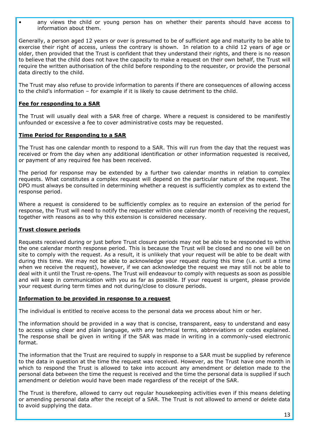• any views the child or young person has on whether their parents should have access to information about them.

Generally, a person aged 12 years or over is presumed to be of sufficient age and maturity to be able to exercise their right of access, unless the contrary is shown. In relation to a child 12 years of age or older, then provided that the Trust is confident that they understand their rights, and there is no reason to believe that the child does not have the capacity to make a request on their own behalf, the Trust will require the written authorisation of the child before responding to the requester, or provide the personal data directly to the child.

The Trust may also refuse to provide information to parents if there are consequences of allowing access to the child's information – for example if it is likely to cause detriment to the child.

# **Fee for responding to a SAR**

The Trust will usually deal with a SAR free of charge. Where a request is considered to be manifestly unfounded or excessive a fee to cover administrative costs may be requested.

# **Time Period for Responding to a SAR**

The Trust has one calendar month to respond to a SAR. This will run from the day that the request was received or from the day when any additional identification or other information requested is received, or payment of any required fee has been received.

The period for response may be extended by a further two calendar months in relation to complex requests. What constitutes a complex request will depend on the particular nature of the request. The DPO must always be consulted in determining whether a request is sufficiently complex as to extend the response period.

Where a request is considered to be sufficiently complex as to require an extension of the period for response, the Trust will need to notify the requester within one calendar month of receiving the request, together with reasons as to why this extension is considered necessary.

#### **Trust closure periods**

Requests received during or just before Trust closure periods may not be able to be responded to within the one calendar month response period. This is because the Trust will be closed and no one will be on site to comply with the request. As a result, it is unlikely that your request will be able to be dealt with during this time. We may not be able to acknowledge your request during this time (i.e. until a time when we receive the request), however, if we can acknowledge the request we may still not be able to deal with it until the Trust re-opens. The Trust will endeavour to comply with requests as soon as possible and will keep in communication with you as far as possible. If your request is urgent, please provide your request during term times and not during/close to closure periods.

#### **Information to be provided in response to a request**

The individual is entitled to receive access to the personal data we process about him or her.

The information should be provided in a way that is concise, transparent, easy to understand and easy to access using clear and plain language, with any technical terms, abbreviations or codes explained. The response shall be given in writing if the SAR was made in writing in a commonly-used electronic format.

The information that the Trust are required to supply in response to a SAR must be supplied by reference to the data in question at the time the request was received. However, as the Trust have one month in which to respond the Trust is allowed to take into account any amendment or deletion made to the personal data between the time the request is received and the time the personal data is supplied if such amendment or deletion would have been made regardless of the receipt of the SAR.

The Trust is therefore, allowed to carry out regular housekeeping activities even if this means deleting or amending personal data after the receipt of a SAR. The Trust is not allowed to amend or delete data to avoid supplying the data.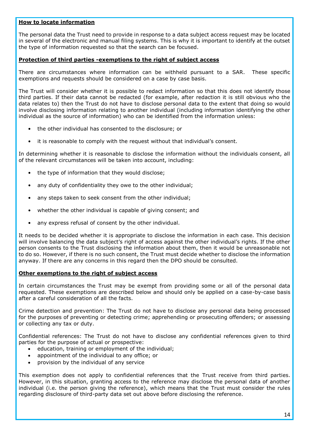#### **How to locate information**

The personal data the Trust need to provide in response to a data subject access request may be located in several of the electronic and manual filing systems. This is why it is important to identify at the outset the type of information requested so that the search can be focused.

#### **Protection of third parties -exemptions to the right of subject access**

There are circumstances where information can be withheld pursuant to a SAR. These specific exemptions and requests should be considered on a case by case basis.

The Trust will consider whether it is possible to redact information so that this does not identify those third parties. If their data cannot be redacted (for example, after redaction it is still obvious who the data relates to) then the Trust do not have to disclose personal data to the extent that doing so would involve disclosing information relating to another individual (including information identifying the other individual as the source of information) who can be identified from the information unless:

- the other individual has consented to the disclosure; or
- it is reasonable to comply with the request without that individual's consent.

In determining whether it is reasonable to disclose the information without the individuals consent, all of the relevant circumstances will be taken into account, including:

- the type of information that they would disclose;
- any duty of confidentiality they owe to the other individual;
- any steps taken to seek consent from the other individual;
- whether the other individual is capable of giving consent; and
- any express refusal of consent by the other individual.

It needs to be decided whether it is appropriate to disclose the information in each case. This decision will involve balancing the data subject's right of access against the other individual's rights. If the other person consents to the Trust disclosing the information about them, then it would be unreasonable not to do so. However, if there is no such consent, the Trust must decide whether to disclose the information anyway. If there are any concerns in this regard then the DPO should be consulted.

#### **Other exemptions to the right of subject access**

In certain circumstances the Trust may be exempt from providing some or all of the personal data requested. These exemptions are described below and should only be applied on a case-by-case basis after a careful consideration of all the facts.

Crime detection and prevention: The Trust do not have to disclose any personal data being processed for the purposes of preventing or detecting crime; apprehending or prosecuting offenders; or assessing or collecting any tax or duty.

Confidential references: The Trust do not have to disclose any confidential references given to third parties for the purpose of actual or prospective:

- education, training or employment of the individual;
- appointment of the individual to any office; or
- provision by the individual of any service

This exemption does not apply to confidential references that the Trust receive from third parties. However, in this situation, granting access to the reference may disclose the personal data of another individual (i.e. the person giving the reference), which means that the Trust must consider the rules regarding disclosure of third-party data set out above before disclosing the reference.